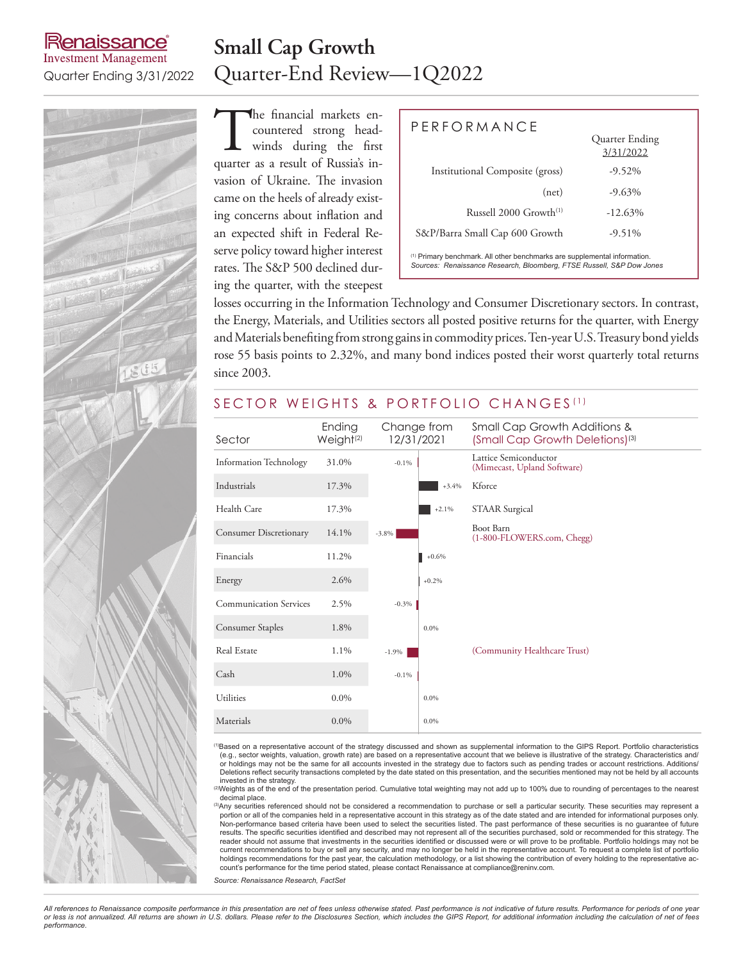### **Renaissance Investment Management**

### **Small Cap Growth** Quarter Ending 3/31/2022 Quarter-End Review—1Q2022

The financial markets encountered strong head-<br>winds during the first<br>quarter as a result of Russia's incountered strong headwinds during the first quarter as a result of Russia's invasion of Ukraine. The invasion came on the heels of already existing concerns about inflation and an expected shift in Federal Reserve policy toward higher interest rates. The S&P 500 declined during the quarter, with the steepest

| $P$ FRFORMANCF                                                                                                                                                | Quarter Ending<br>3/31/2022 |  |  |  |  |  |
|---------------------------------------------------------------------------------------------------------------------------------------------------------------|-----------------------------|--|--|--|--|--|
| <b>Institutional Composite (gross)</b>                                                                                                                        | $-9.52\%$                   |  |  |  |  |  |
| (net)                                                                                                                                                         | $-9.63\%$                   |  |  |  |  |  |
| Russell $2000$ Growth <sup>(1)</sup>                                                                                                                          | $-12.63\%$                  |  |  |  |  |  |
| S&P/Barra Small Cap 600 Growth                                                                                                                                | $-9.51\%$                   |  |  |  |  |  |
| <sup>(1)</sup> Primary benchmark. All other benchmarks are supplemental information.<br>Sources: Renaissance Research, Bloomberg, FTSE Russell, S&P Dow Jones |                             |  |  |  |  |  |

losses occurring in the Information Technology and Consumer Discretionary sectors. In contrast, the Energy, Materials, and Utilities sectors all posted positive returns for the quarter, with Energy and Materials benefiting from strong gains in commodity prices. Ten-year U.S. Treasury bond yields rose 55 basis points to 2.32%, and many bond indices posted their worst quarterly total returns since 2003.

#### SECTOR WEIGHTS & PORTFOLIO CHANGES<sup>(1)</sup>

| Sector                        | Ending<br>Weight <sup>(2)</sup> | Change from<br>12/31/2021 |         | Small Cap Growth Additions &<br>(Small Cap Growth Deletions) <sup>(3)</sup> |  |  |  |  |
|-------------------------------|---------------------------------|---------------------------|---------|-----------------------------------------------------------------------------|--|--|--|--|
| <b>Information Technology</b> | 31.0%                           | $-0.1\%$                  |         | Lattice Semiconductor<br>(Mimecast, Upland Software)                        |  |  |  |  |
| Industrials                   | 17.3%                           |                           | $+3.4%$ | Kforce                                                                      |  |  |  |  |
| Health Care                   | 17.3%                           |                           | $+2.1%$ | <b>STAAR Surgical</b>                                                       |  |  |  |  |
| <b>Consumer Discretionary</b> | 14.1%                           | $-3.8\%$                  |         | Boot Barn<br>(1-800-FLOWERS.com, Chegg)                                     |  |  |  |  |
| Financials                    | 11.2%                           |                           | $+0.6%$ |                                                                             |  |  |  |  |
| Energy                        | 2.6%                            |                           | $+0.2%$ |                                                                             |  |  |  |  |
| <b>Communication Services</b> | 2.5%                            | $-0.3%$                   |         |                                                                             |  |  |  |  |
| Consumer Staples              | 1.8%                            |                           | 0.0%    |                                                                             |  |  |  |  |
| Real Estate                   | 1.1%                            | $-1.9%$                   |         | (Community Healthcare Trust)                                                |  |  |  |  |
| Cash                          | 1.0%                            | $-0.1%$                   |         |                                                                             |  |  |  |  |
| Utilities                     | $0.0\%$                         |                           | $0.0\%$ |                                                                             |  |  |  |  |
| Materials                     | $0.0\%$                         |                           | $0.0\%$ |                                                                             |  |  |  |  |

<sup>(1)</sup>Based on a representative account of the strategy discussed and shown as supplemental information to the GIPS Report. Portfolio characteristics (e.g., sector weights, valuation, growth rate) are based on a representative account that we believe is illustrative of the strategy. Characteristics and/ or holdings may not be the same for all accounts invested in the strategy due to factors such as pending trades or account restrictions. Additions/<br>Deletions reflect security transactions completed by the date stated on th

invested in the strategy.<br>"Weights as of the end of the presentation period. Cumulative total weighting may not add up to 100% due to rounding of percentages to the nearest decimal place.

<sup>(3)</sup>Any securities referenced should not be considered a recommendation to purchase or sell a particular security. These securities may represent a portion or all of the companies held in a representative account in this strategy as of the date stated and are intended for informational purposes only.<br>Non-performance based criteria have been used to select the securiti results. The specific securities identified and described may not represent all of the securities purchased, sold or recommended for this strategy. The reader should not assume that investments in the securities identified or discussed were or will prove to be profitable. Portfolio holdings may not be current recommendations to buy or sell any security, and may no longer be held in the representative account. To request a complete list of portfolio holdings recommendations for the past year, the calculation methodology, or a list showing the contribution of every holding to the representative account's performance for the time period stated, please contact Renaissance at compliance@reninv.com.

*Source: Renaissance Research, FactSet*

*All references to Renaissance composite performance in this presentation are net of fees unless otherwise stated. Past performance is not indicative of future results. Performance for periods of one year or less is not annualized. All returns are shown in U.S. dollars. Please refer to the Disclosures Section, which includes the GIPS Report, for additional information including the calculation of net of fees performance.* 



 $3(55)$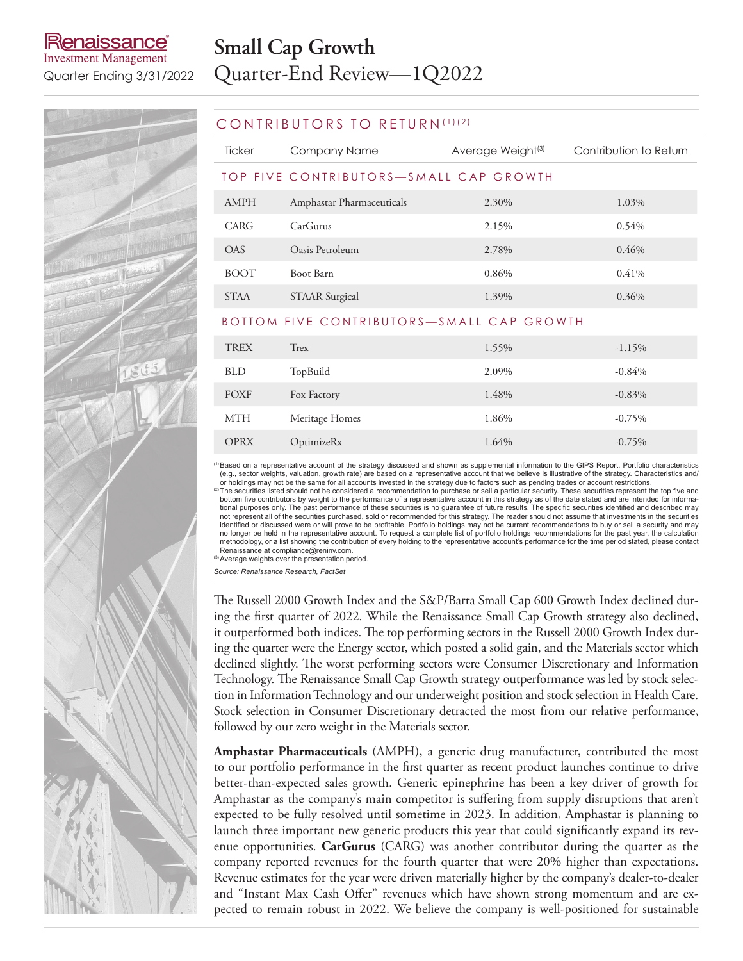#### kenaissance® **Investment Management**

## **Small Cap Growth** Quarter Ending 3/31/2022 Quarter-End Review—1Q2022

#### CONTRIBUTORS TO RETURN (1)(2)

| Ticker                                    | Company Name              | Average Weight <sup>(3)</sup> | Contribution to Return |  |  |  |
|-------------------------------------------|---------------------------|-------------------------------|------------------------|--|--|--|
| TOP FIVE CONTRIBUTORS—SMALL CAP GROWTH    |                           |                               |                        |  |  |  |
| AMPH                                      | Amphastar Pharmaceuticals | 2.30%                         | 1.03%                  |  |  |  |
| CARG                                      | CarGurus                  | 2.15%                         | 0.54%                  |  |  |  |
| <b>OAS</b>                                | Oasis Petroleum           | 2.78%                         | 0.46%                  |  |  |  |
| <b>BOOT</b>                               | Boot Barn                 | 0.86%                         | $0.41\%$               |  |  |  |
| <b>STAA</b>                               | <b>STAAR Surgical</b>     | 1.39%                         | 0.36%                  |  |  |  |
| BOTTOM FIVE CONTRIBUTORS—SMALL CAP GROWTH |                           |                               |                        |  |  |  |
|                                           |                           |                               |                        |  |  |  |

| <b>TREX</b> | Trex           | 1.55% | $-1.15%$  |
|-------------|----------------|-------|-----------|
| <b>BLD</b>  | TopBuild       | 2.09% | $-0.84%$  |
| FOXF        | Fox Factory    | 1.48% | $-0.83\%$ |
| <b>MTH</b>  | Meritage Homes | 1.86% | $-0.75%$  |
| <b>OPRX</b> | OptimizeRx     | 1.64% | $-0.75\%$ |

(1)Based on a representative account of the strategy discussed and shown as supplemental information to the GIPS Report. Portfolio characteristics (e.g., sector weights, valuation, growth rate) are based on a representative account that we believe is illustrative of the strategy. Characteristics and/

or holdings may not be the same for all accounts invested in the strategy due to factors such as pending trades or account restrictions.<br><sup>(2)</sup> The securities listed should not be considered a recommendation to purchase or bottom five contributors by weight to the performance of a representative account in this strategy as of the date stated and are intended for informational purposes only. The past performance of these securities is no guarantee of future results. The specific securities identified and described may<br>not represent all of the securities purchased, sold or recommended for identified or discussed were or will prove to be profitable. Portfolio holdings may not be current recommendations to buy or sell a security and may no longer be held in the representative account. To request a complete list of portfolio holdings recommendations for the past year, the calculation<br>methodology, or a list showing the contribution of every holding to the r Renaissance at compliance@reninv.com.

(3) Average weights over the presentation period

*Source: Renaissance Research, FactSet*

The Russell 2000 Growth Index and the S&P/Barra Small Cap 600 Growth Index declined during the first quarter of 2022. While the Renaissance Small Cap Growth strategy also declined, it outperformed both indices. The top performing sectors in the Russell 2000 Growth Index during the quarter were the Energy sector, which posted a solid gain, and the Materials sector which declined slightly. The worst performing sectors were Consumer Discretionary and Information Technology. The Renaissance Small Cap Growth strategy outperformance was led by stock selection in Information Technology and our underweight position and stock selection in Health Care. Stock selection in Consumer Discretionary detracted the most from our relative performance, followed by our zero weight in the Materials sector.

**Amphastar Pharmaceuticals** (AMPH), a generic drug manufacturer, contributed the most to our portfolio performance in the first quarter as recent product launches continue to drive better-than-expected sales growth. Generic epinephrine has been a key driver of growth for Amphastar as the company's main competitor is suffering from supply disruptions that aren't expected to be fully resolved until sometime in 2023. In addition, Amphastar is planning to launch three important new generic products this year that could significantly expand its revenue opportunities. **CarGurus** (CARG) was another contributor during the quarter as the company reported revenues for the fourth quarter that were 20% higher than expectations. Revenue estimates for the year were driven materially higher by the company's dealer-to-dealer and "Instant Max Cash Offer" revenues which have shown strong momentum and are expected to remain robust in 2022. We believe the company is well-positioned for sustainable

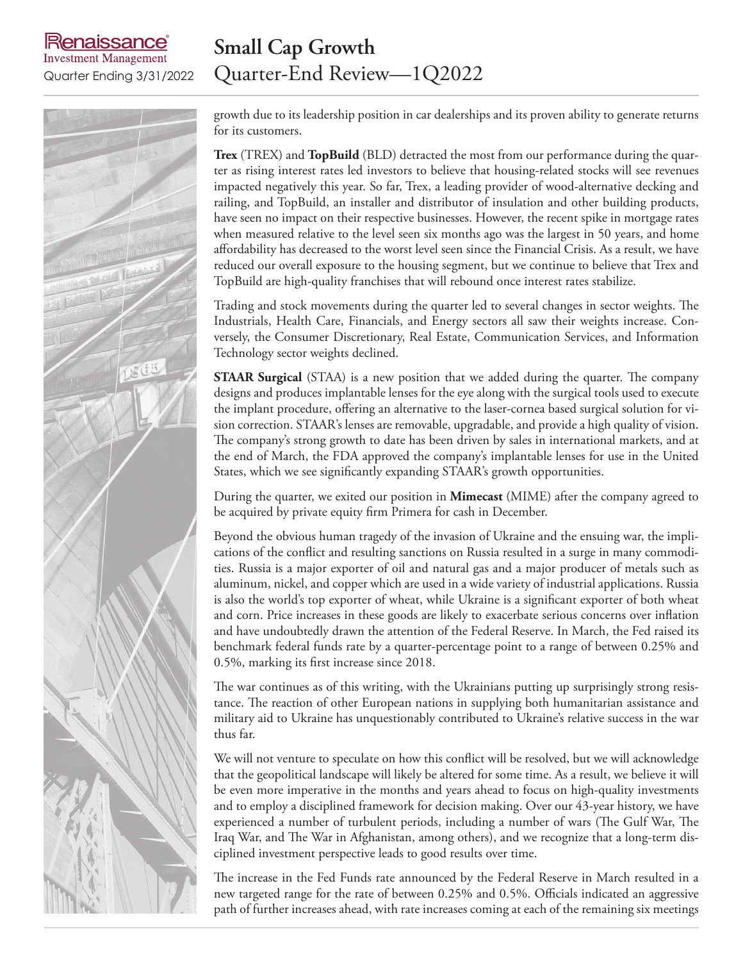### enaissance **Investment Management**

### **Small Cap Growth** Quarter Ending 3/31/2022 Quarter-End Review—1Q2022

growth due to its leadership position in car dealerships and its proven ability to generate returns for its customers.

**Trex** (TREX) and **TopBuild** (BLD) detracted the most from our performance during the quarter as rising interest rates led investors to believe that housing-related stocks will see revenues impacted negatively this year. So far, Trex, a leading provider of wood-alternative decking and railing, and TopBuild, an installer and distributor of insulation and other building products, have seen no impact on their respective businesses. However, the recent spike in mortgage rates when measured relative to the level seen six months ago was the largest in 50 years, and home affordability has decreased to the worst level seen since the Financial Crisis. As a result, we have reduced our overall exposure to the housing segment, but we continue to believe that Trex and TopBuild are high-quality franchises that will rebound once interest rates stabilize.

Trading and stock movements during the quarter led to several changes in sector weights. The Industrials, Health Care, Financials, and Energy sectors all saw their weights increase. Conversely, the Consumer Discretionary, Real Estate, Communication Services, and Information Technology sector weights declined.

**STAAR Surgical** (STAA) is a new position that we added during the quarter. The company designs and produces implantable lenses for the eye along with the surgical tools used to execute the implant procedure, offering an alternative to the laser-cornea based surgical solution for vision correction. STAAR's lenses are removable, upgradable, and provide a high quality of vision. The company's strong growth to date has been driven by sales in international markets, and at the end of March, the FDA approved the company's implantable lenses for use in the United States, which we see significantly expanding STAAR's growth opportunities.

During the quarter, we exited our position in **Mimecast** (MIME) after the company agreed to be acquired by private equity firm Primera for cash in December.

Beyond the obvious human tragedy of the invasion of Ukraine and the ensuing war, the implications of the conflict and resulting sanctions on Russia resulted in a surge in many commodities. Russia is a major exporter of oil and natural gas and a major producer of metals such as aluminum, nickel, and copper which are used in a wide variety of industrial applications. Russia is also the world's top exporter of wheat, while Ukraine is a significant exporter of both wheat and corn. Price increases in these goods are likely to exacerbate serious concerns over inflation and have undoubtedly drawn the attention of the Federal Reserve. In March, the Fed raised its benchmark federal funds rate by a quarter-percentage point to a range of between 0.25% and 0.5%, marking its first increase since 2018.

The war continues as of this writing, with the Ukrainians putting up surprisingly strong resistance. The reaction of other European nations in supplying both humanitarian assistance and military aid to Ukraine has unquestionably contributed to Ukraine's relative success in the war thus far.

We will not venture to speculate on how this conflict will be resolved, but we will acknowledge that the geopolitical landscape will likely be altered for some time. As a result, we believe it will be even more imperative in the months and years ahead to focus on high-quality investments and to employ a disciplined framework for decision making. Over our 43-year history, we have experienced a number of turbulent periods, including a number of wars (The Gulf War, The Iraq War, and The War in Afghanistan, among others), and we recognize that a long-term disciplined investment perspective leads to good results over time.

The increase in the Fed Funds rate announced by the Federal Reserve in March resulted in a new targeted range for the rate of between 0.25% and 0.5%. Officials indicated an aggressive path of further increases ahead, with rate increases coming at each of the remaining six meetings

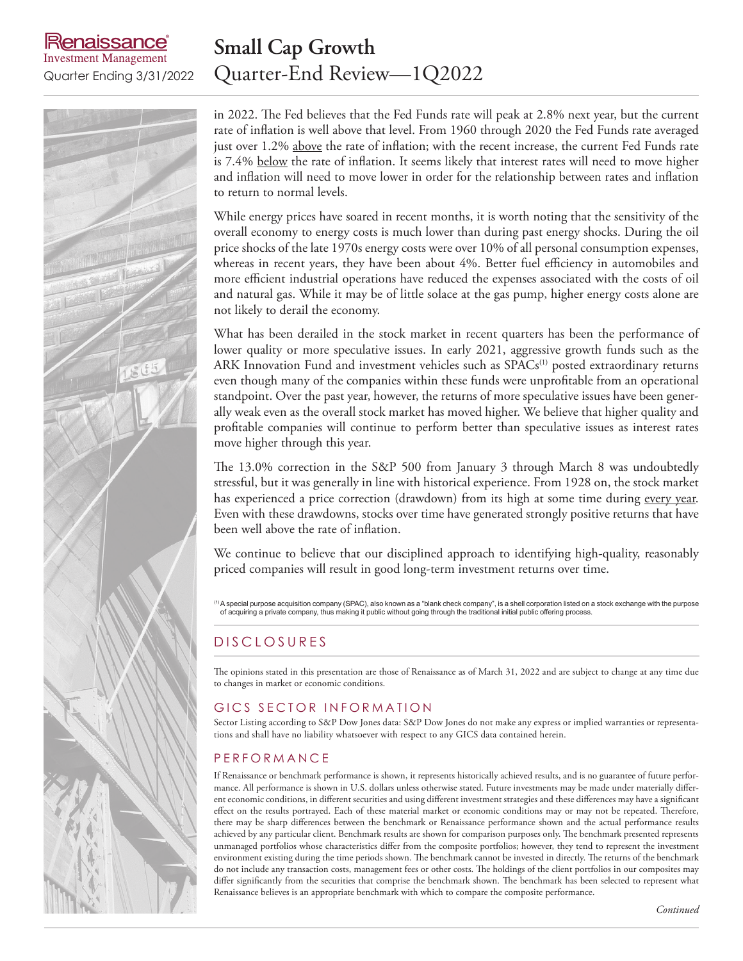### aissance **Investment Management**

### **Small Cap Growth** Quarter Ending 3/31/2022 Quarter-End Review—1Q2022

in 2022. The Fed believes that the Fed Funds rate will peak at 2.8% next year, but the current rate of inflation is well above that level. From 1960 through 2020 the Fed Funds rate averaged just over 1.2% above the rate of inflation; with the recent increase, the current Fed Funds rate is 7.4% below the rate of inflation. It seems likely that interest rates will need to move higher and inflation will need to move lower in order for the relationship between rates and inflation to return to normal levels.

While energy prices have soared in recent months, it is worth noting that the sensitivity of the overall economy to energy costs is much lower than during past energy shocks. During the oil price shocks of the late 1970s energy costs were over 10% of all personal consumption expenses, whereas in recent years, they have been about 4%. Better fuel efficiency in automobiles and more efficient industrial operations have reduced the expenses associated with the costs of oil and natural gas. While it may be of little solace at the gas pump, higher energy costs alone are not likely to derail the economy.

What has been derailed in the stock market in recent quarters has been the performance of lower quality or more speculative issues. In early 2021, aggressive growth funds such as the ARK Innovation Fund and investment vehicles such as SPACs<sup>(1)</sup> posted extraordinary returns even though many of the companies within these funds were unprofitable from an operational standpoint. Over the past year, however, the returns of more speculative issues have been generally weak even as the overall stock market has moved higher. We believe that higher quality and profitable companies will continue to perform better than speculative issues as interest rates move higher through this year.

The 13.0% correction in the S&P 500 from January 3 through March 8 was undoubtedly stressful, but it was generally in line with historical experience. From 1928 on, the stock market has experienced a price correction (drawdown) from its high at some time during every year. Even with these drawdowns, stocks over time have generated strongly positive returns that have been well above the rate of inflation.

We continue to believe that our disciplined approach to identifying high-quality, reasonably priced companies will result in good long-term investment returns over time.

(1)A special purpose acquisition company (SPAC), also known as a "blank check company", is a shell corporation listed on a stock exchange with the purpose of acquiring a private company, thus making it public without going through the traditional initial public offering process.

### D IS CLOSURES

The opinions stated in this presentation are those of Renaissance as of March 31, 2022 and are subject to change at any time due to changes in market or economic conditions.

#### GICS SECTOR INFORMATION

Sector Listing according to S&P Dow Jones data: S&P Dow Jones do not make any express or implied warranties or representations and shall have no liability whatsoever with respect to any GICS data contained herein.

#### **PERFORMANCE**

If Renaissance or benchmark performance is shown, it represents historically achieved results, and is no guarantee of future performance. All performance is shown in U.S. dollars unless otherwise stated. Future investments may be made under materially different economic conditions, in different securities and using different investment strategies and these differences may have a significant effect on the results portrayed. Each of these material market or economic conditions may or may not be repeated. Therefore, there may be sharp differences between the benchmark or Renaissance performance shown and the actual performance results achieved by any particular client. Benchmark results are shown for comparison purposes only. The benchmark presented represents unmanaged portfolios whose characteristics differ from the composite portfolios; however, they tend to represent the investment environment existing during the time periods shown. The benchmark cannot be invested in directly. The returns of the benchmark do not include any transaction costs, management fees or other costs. The holdings of the client portfolios in our composites may differ significantly from the securities that comprise the benchmark shown. The benchmark has been selected to represent what Renaissance believes is an appropriate benchmark with which to compare the composite performance.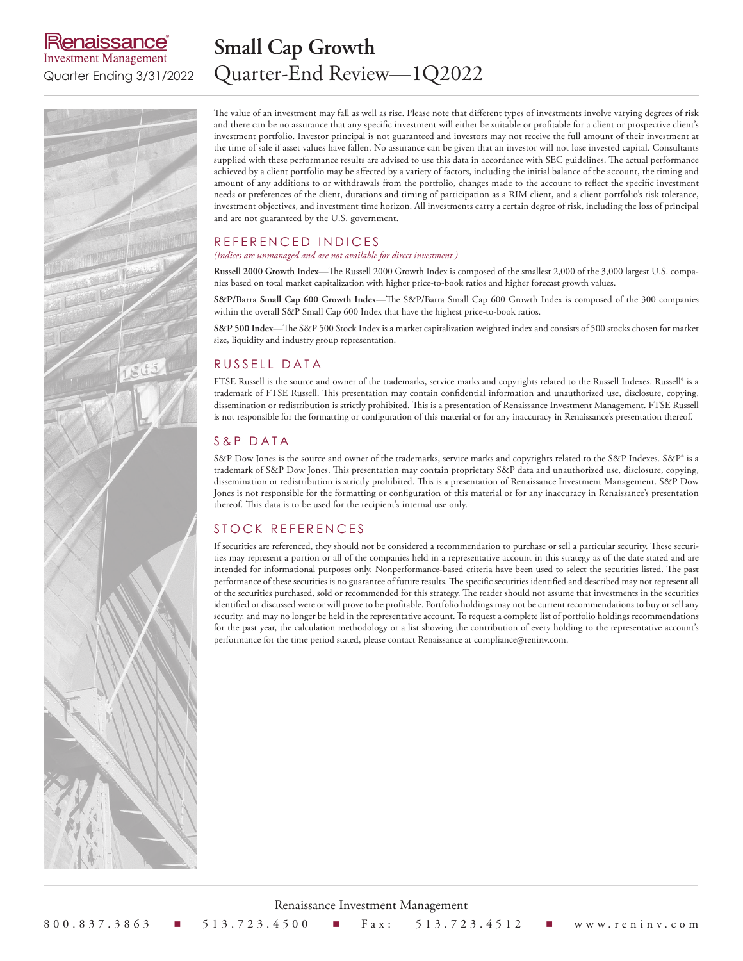### lenaissance® **Investment Management**

## **Small Cap Growth** Quarter Ending 3/31/2022 Quarter-End Review—1Q2022

The value of an investment may fall as well as rise. Please note that different types of investments involve varying degrees of risk and there can be no assurance that any specific investment will either be suitable or profitable for a client or prospective client's investment portfolio. Investor principal is not guaranteed and investors may not receive the full amount of their investment at the time of sale if asset values have fallen. No assurance can be given that an investor will not lose invested capital. Consultants supplied with these performance results are advised to use this data in accordance with SEC guidelines. The actual performance achieved by a client portfolio may be affected by a variety of factors, including the initial balance of the account, the timing and amount of any additions to or withdrawals from the portfolio, changes made to the account to reflect the specific investment needs or preferences of the client, durations and timing of participation as a RIM client, and a client portfolio's risk tolerance, investment objectives, and investment time horizon. All investments carry a certain degree of risk, including the loss of principal and are not guaranteed by the U.S. government.

#### REFERENCED INDICES

#### *(Indices are unmanaged and are not available for direct investment.)*

**Russell 2000 Growth Index—**The Russell 2000 Growth Index is composed of the smallest 2,000 of the 3,000 largest U.S. companies based on total market capitalization with higher price-to-book ratios and higher forecast growth values.

**S&P/Barra Small Cap 600 Growth Index—**The S&P/Barra Small Cap 600 Growth Index is composed of the 300 companies within the overall S&P Small Cap 600 Index that have the highest price-to-book ratios.

**S&P 500 Index**—The S&P 500 Stock Index is a market capitalization weighted index and consists of 500 stocks chosen for market size, liquidity and industry group representation.

#### RUSSELL DATA

FTSE Russell is the source and owner of the trademarks, service marks and copyrights related to the Russell Indexes. Russell® is a trademark of FTSE Russell. This presentation may contain confidential information and unauthorized use, disclosure, copying, dissemination or redistribution is strictly prohibited. This is a presentation of Renaissance Investment Management. FTSE Russell is not responsible for the formatting or configuration of this material or for any inaccuracy in Renaissance's presentation thereof.

#### S&P DATA

S&P Dow Jones is the source and owner of the trademarks, service marks and copyrights related to the S&P Indexes. S&P® is a trademark of S&P Dow Jones. This presentation may contain proprietary S&P data and unauthorized use, disclosure, copying, dissemination or redistribution is strictly prohibited. This is a presentation of Renaissance Investment Management. S&P Dow Jones is not responsible for the formatting or configuration of this material or for any inaccuracy in Renaissance's presentation thereof. This data is to be used for the recipient's internal use only.

#### STOCK REFERENCES

If securities are referenced, they should not be considered a recommendation to purchase or sell a particular security. These securities may represent a portion or all of the companies held in a representative account in this strategy as of the date stated and are intended for informational purposes only. Nonperformance-based criteria have been used to select the securities listed. The past performance of these securities is no guarantee of future results. The specific securities identified and described may not represent all of the securities purchased, sold or recommended for this strategy. The reader should not assume that investments in the securities identified or discussed were or will prove to be profitable. Portfolio holdings may not be current recommendations to buy or sell any security, and may no longer be held in the representative account. To request a complete list of portfolio holdings recommendations for the past year, the calculation methodology or a list showing the contribution of every holding to the representative account's performance for the time period stated, please contact Renaissance at compliance@reninv.com.